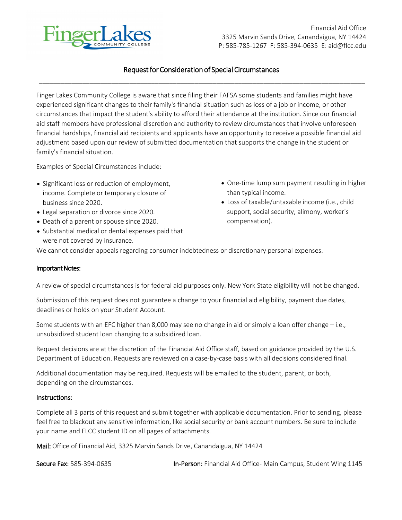

Financial Aid Office 3325 Marvin Sands Drive, Canandaigua, NY 14424 P: 585-785-1267 F: 585-394-0635 E: [aid@flcc.edu](mailto:aid@flcc.edu) 

## \_\_\_\_\_\_\_\_\_\_\_\_\_\_\_\_\_\_\_\_\_\_\_\_\_\_\_\_\_\_\_\_\_\_\_\_\_\_\_\_\_\_\_\_\_\_\_\_\_\_\_\_\_\_\_\_\_\_\_\_\_\_\_\_\_\_\_\_\_\_\_\_\_\_\_\_\_\_\_\_\_\_\_\_\_\_\_\_\_\_ Request for Consideration of Special Circumstances

Finger Lakes Community College is aware that since filing their FAFSA some students and families might have experienced significant changes to their family's financial situation such as loss of a job or income, or other circumstances that impact the student's ability to afford their attendance at the institution. Since our financial aid staff members have professional discretion and authority to review circumstances that involve unforeseen financial hardships, financial aid recipients and applicants have an opportunity to receive a possible financial aid adjustment based upon our review of submitted documentation that supports the change in the student or family's financial situation.

Examples of Special Circumstances include:

- income. Complete or temporary closure of than typical income.
- 
- Death of a parent or spouse since 2020. The compensation compensation.
- Substantial medical or dental expenses paid that were not covered by insurance.
- Significant loss or reduction of employment, **•** One-time lump sum payment resulting in higher
- business since 2020. Loss of taxable/untaxable income (i.e., child • Legal separation or divorce since 2020. Support, social security, alimony, worker's

We cannot consider appeals regarding consumer indebtedness or discretionary personal expenses.

#### Important Notes:

A review of special circumstances is for federal aid purposes only. New York State eligibility will not be changed.

Submission of this request does not guarantee a change to your financial aid eligibility, payment due dates, deadlines or holds on your Student Account.

Some students with an EFC higher than 8,000 may see no change in aid or simply a loan offer change – i.e., unsubsidized student loan changing to a subsidized loan.

Request decisions are at the discretion of the Financial Aid Office staff, based on guidance provided by the U.S. Department of Education. Requests are reviewed on a case-by-case basis with all decisions considered final.

Additional documentation may be required. Requests will be emailed to the student, parent, or both, depending on the circumstances.

#### Instructions:

Complete all 3 parts of this request and submit together with applicable documentation. Prior to sending, please feel free to blackout any sensitive information, like social security or bank account numbers. Be sure to include your name and FLCC student ID on all pages of attachments.

Mail: Office of Financial Aid, 3325 Marvin Sands Drive, Canandaigua, NY 14424

Secure Fax: 585-394-0635 In-Person: Financial Aid Office- Main Campus, Student Wing 1145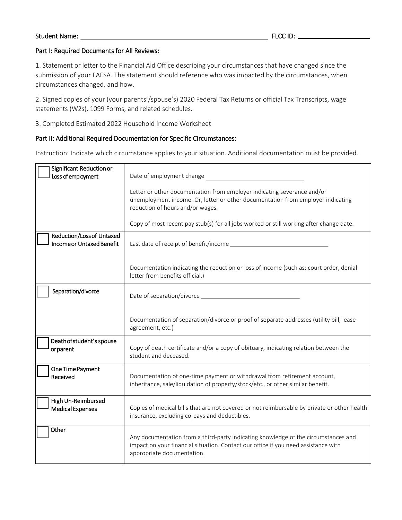#### Student Name: The Student Name: The Student Name: The Student Name: The Student Name: The Student Name: The Student Student Student Student Student Student Student Student Student Student Student Student Student Student St

## Part I: Required Documents for All Reviews:

1. Statement or letter to the Financial Aid Office describing your circumstances that have changed since the submission of your FAFSA. The statement should reference who was impacted by the circumstances, when circumstances changed, and how.

2. Signed copies of your (your parents'/spouse's) 2020 Federal Tax Returns or official Tax Transcripts, wage statements (W2s), 1099 Forms, and related schedules.

3. Completed Estimated 2022 Household Income Worksheet

## Part II: Additional Required Documentation for Specific Circumstances:

Instruction: Indicate which circumstance applies to your situation. Additional documentation must be provided.

| Significant Reduction or<br>Loss of employment               | Date of employment change                                                                                                                                                                              |
|--------------------------------------------------------------|--------------------------------------------------------------------------------------------------------------------------------------------------------------------------------------------------------|
|                                                              | Letter or other documentation from employer indicating severance and/or<br>unemployment income. Or, letter or other documentation from employer indicating<br>reduction of hours and/or wages.         |
|                                                              | Copy of most recent pay stub(s) for all jobs worked or still working after change date.                                                                                                                |
| Reduction/Loss of Untaxed<br><b>Incomeor Untaxed Benefit</b> |                                                                                                                                                                                                        |
|                                                              | Documentation indicating the reduction or loss of income (such as: court order, denial<br>letter from benefits official.)                                                                              |
| Separation/divorce                                           |                                                                                                                                                                                                        |
|                                                              | Documentation of separation/divorce or proof of separate addresses (utility bill, lease<br>agreement, etc.)                                                                                            |
| Death of student's spouse<br>orparent                        | Copy of death certificate and/or a copy of obituary, indicating relation between the<br>student and deceased.                                                                                          |
| One Time Payment<br>Received                                 | Documentation of one-time payment or withdrawal from retirement account,<br>inheritance, sale/liquidation of property/stock/etc., or other similar benefit.                                            |
| High Un-Reimbursed<br><b>Medical Expenses</b>                | Copies of medical bills that are not covered or not reimbursable by private or other health<br>insurance, excluding co-pays and deductibles.                                                           |
| Other                                                        | Any documentation from a third-party indicating knowledge of the circumstances and<br>impact on your financial situation. Contact our office if you need assistance with<br>appropriate documentation. |